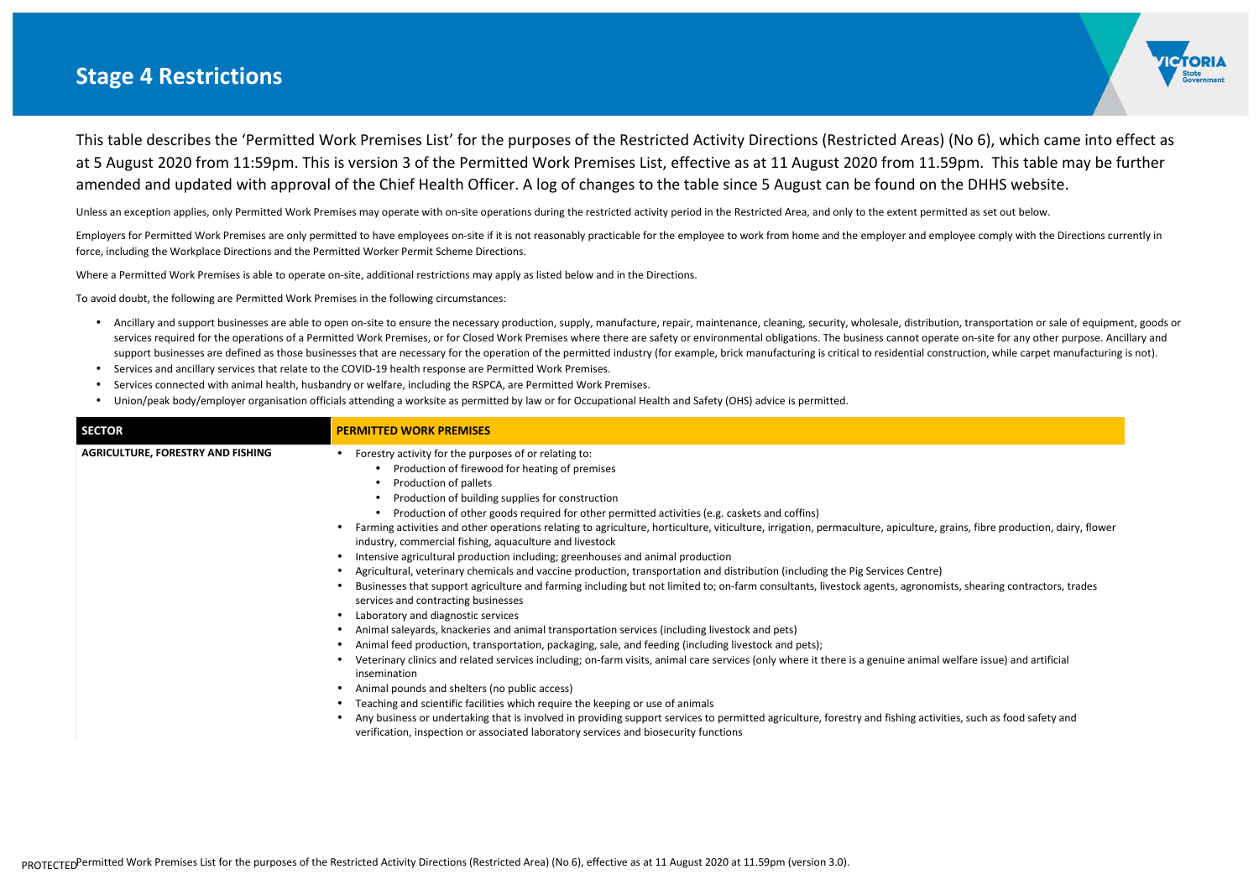## **Stage 4 Restrictions**

This table describes the 'Permitted Work Premises List' for the purposes of the Restricted Activity Directions (Restricted Areas) (No 6), which came into effect as at 5 August 2020 from 11:59pm. This is version 3 of the Permitted Work Premises List, effective as at 11 August 2020 from 11.59pm. This table may be further amended and updated with approval of the Chief Health Officer. A log of changes to the table since 5 August can be found on the DHHS website.

Unless an exception applies, only Permitted Work Premises may operate with on-site operations during the restricted activity period in the Restricted Area, and only to the extent permitted as set out below.

Employers for Permitted Work Premises are only permitted to have employees on-site if it is not reasonably practicable for the employee to work from home and the employer and employee comply with the Directions currently in force, including the Workplace Directions and the Permitted Worker Permit Scheme Directions.

- Ancillary and support businesses are able to open on-site to ensure the necessary production, supply, manufacture, repair, maintenance, cleaning, security, wholesale, distribution, transportation or sale of equipment, go services required for the operations of a Permitted Work Premises, or for Closed Work Premises where there are safety or environmental obligations. The business cannot operate on-site for any other purpose. Ancillary and support businesses are defined as those businesses that are necessary for the operation of the permitted industry (for example, brick manufacturing is critical to residential construction, while carpet manufacturing is not
- •Services and ancillary services that relate to the COVID-19 health response are Permitted Work Premises.
- •Services connected with animal health, husbandry or welfare, including the RSPCA, are Permitted Work Premises.
- •Union/peak body/employer organisation officials attending a worksite as permitted by law or for Occupational Health and Safety (OHS) advice is permitted.

Where a Permitted Work Premises is able to operate on-site, additional restrictions may apply as listed below and in the Directions.

To avoid doubt, the following are Permitted Work Premises in the following circumstances:

| <b>SECTOR</b>                            | <b>PERMITTED WORK PREMISES</b>                                                                                                                                                                                                                                                                                                                                                                                                                                                                                                                                                                                                                                                                                                                                                                                                                                                                                                                                                                                                                                                                                                                                                                                                                                                                                                                                                                                                                                                                                                                                                                                                                                      |
|------------------------------------------|---------------------------------------------------------------------------------------------------------------------------------------------------------------------------------------------------------------------------------------------------------------------------------------------------------------------------------------------------------------------------------------------------------------------------------------------------------------------------------------------------------------------------------------------------------------------------------------------------------------------------------------------------------------------------------------------------------------------------------------------------------------------------------------------------------------------------------------------------------------------------------------------------------------------------------------------------------------------------------------------------------------------------------------------------------------------------------------------------------------------------------------------------------------------------------------------------------------------------------------------------------------------------------------------------------------------------------------------------------------------------------------------------------------------------------------------------------------------------------------------------------------------------------------------------------------------------------------------------------------------------------------------------------------------|
| <b>AGRICULTURE, FORESTRY AND FISHING</b> | Forestry activity for the purposes of or relating to:<br>Production of firewood for heating of premises<br>Production of pallets<br>Production of building supplies for construction<br>Production of other goods required for other permitted activities (e.g. caskets and coffins)<br>Farming activities and other operations relating to agriculture, horticulture, viticulture, irrigation, permaculture, apiculture, grai<br>industry, commercial fishing, aquaculture and livestock<br>Intensive agricultural production including; greenhouses and animal production<br>Agricultural, veterinary chemicals and vaccine production, transportation and distribution (including the Pig Services Centre)<br>Businesses that support agriculture and farming including but not limited to; on-farm consultants, livestock agents, agronomists<br>services and contracting businesses<br>Laboratory and diagnostic services<br>Animal saleyards, knackeries and animal transportation services (including livestock and pets)<br>Animal feed production, transportation, packaging, sale, and feeding (including livestock and pets);<br>Veterinary clinics and related services including; on-farm visits, animal care services (only where it there is a genuine animal wel<br>insemination<br>Animal pounds and shelters (no public access)<br>Teaching and scientific facilities which require the keeping or use of animals<br>Any business or undertaking that is involved in providing support services to permitted agriculture, forestry and fishing activities<br>verification, inspection or associated laboratory services and biosecurity functions |



ins, fibre production, dairy, flower

s, shearing contractors, trades

Ifare issue) and artificial

s, such as food safety and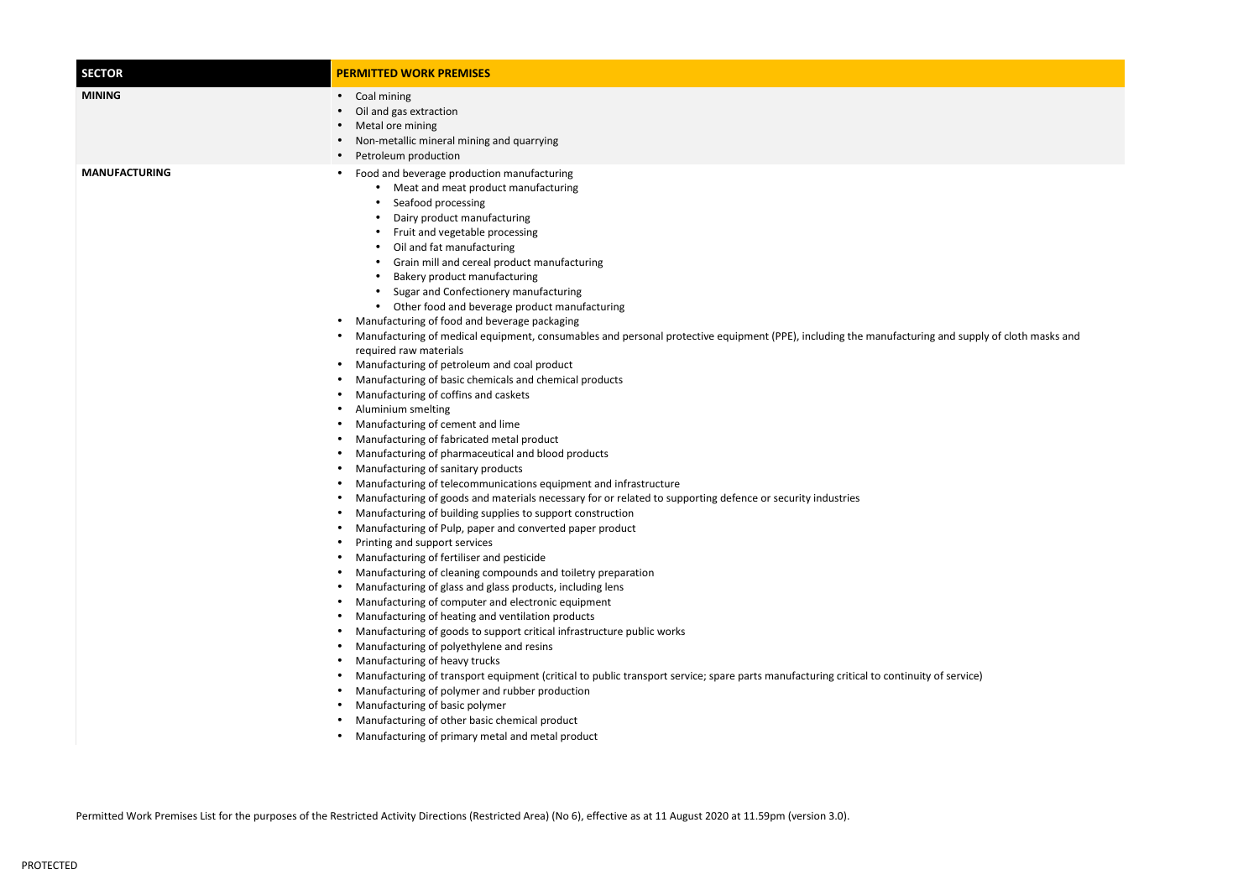## nd supply of cloth masks and

| <b>SECTOR</b>        | <b>PERMITTED WORK PREMISES</b>                                                                                                                                                                                                                                                                                                                                                                                                                                                                                                                                                                                                                                                                                                                                                                                                                                                                                                                                                                                                                                                                                                                                                                                                                                                                                                                                                                                                                                                                                                                                                                                                                                                                                                                                                                                                                                                                                                                                                                                                                                                            |
|----------------------|-------------------------------------------------------------------------------------------------------------------------------------------------------------------------------------------------------------------------------------------------------------------------------------------------------------------------------------------------------------------------------------------------------------------------------------------------------------------------------------------------------------------------------------------------------------------------------------------------------------------------------------------------------------------------------------------------------------------------------------------------------------------------------------------------------------------------------------------------------------------------------------------------------------------------------------------------------------------------------------------------------------------------------------------------------------------------------------------------------------------------------------------------------------------------------------------------------------------------------------------------------------------------------------------------------------------------------------------------------------------------------------------------------------------------------------------------------------------------------------------------------------------------------------------------------------------------------------------------------------------------------------------------------------------------------------------------------------------------------------------------------------------------------------------------------------------------------------------------------------------------------------------------------------------------------------------------------------------------------------------------------------------------------------------------------------------------------------------|
| <b>MINING</b>        | Coal mining<br>$\bullet$<br>Oil and gas extraction<br>Metal ore mining<br>Non-metallic mineral mining and quarrying<br>Petroleum production                                                                                                                                                                                                                                                                                                                                                                                                                                                                                                                                                                                                                                                                                                                                                                                                                                                                                                                                                                                                                                                                                                                                                                                                                                                                                                                                                                                                                                                                                                                                                                                                                                                                                                                                                                                                                                                                                                                                               |
| <b>MANUFACTURING</b> | Food and beverage production manufacturing<br>Meat and meat product manufacturing<br>Seafood processing<br>Dairy product manufacturing<br>Fruit and vegetable processing<br>Oil and fat manufacturing<br>$\bullet$<br>Grain mill and cereal product manufacturing<br>Bakery product manufacturing<br>Sugar and Confectionery manufacturing<br>Other food and beverage product manufacturing<br>Manufacturing of food and beverage packaging<br>Manufacturing of medical equipment, consumables and personal protective equipment (PPE), including the manufacturing and suppl<br>required raw materials<br>Manufacturing of petroleum and coal product<br>Manufacturing of basic chemicals and chemical products<br>Manufacturing of coffins and caskets<br>Aluminium smelting<br>Manufacturing of cement and lime<br>Manufacturing of fabricated metal product<br>Manufacturing of pharmaceutical and blood products<br>Manufacturing of sanitary products<br>Manufacturing of telecommunications equipment and infrastructure<br>Manufacturing of goods and materials necessary for or related to supporting defence or security industries<br>Manufacturing of building supplies to support construction<br>Manufacturing of Pulp, paper and converted paper product<br>Printing and support services<br>Manufacturing of fertiliser and pesticide<br>Manufacturing of cleaning compounds and toiletry preparation<br>Manufacturing of glass and glass products, including lens<br>Manufacturing of computer and electronic equipment<br>Manufacturing of heating and ventilation products<br>Manufacturing of goods to support critical infrastructure public works<br>Manufacturing of polyethylene and resins<br>Manufacturing of heavy trucks<br>Manufacturing of transport equipment (critical to public transport service; spare parts manufacturing critical to continuity of service)<br>Manufacturing of polymer and rubber production<br>Manufacturing of basic polymer<br>Manufacturing of other basic chemical product<br>Manufacturing of primary metal and metal product |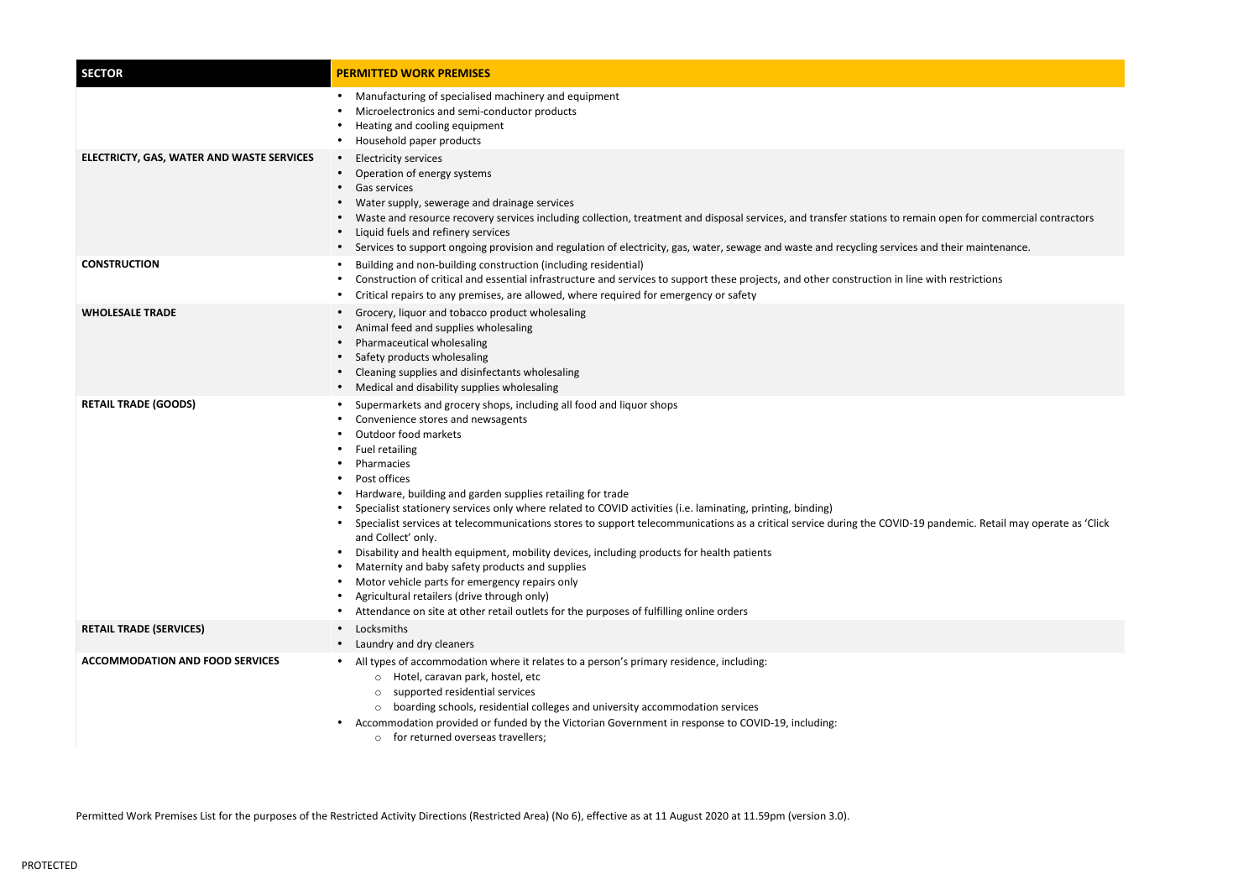pen for commercial contractors

demic. Retail may operate as 'Click

| <b>SECTOR</b>                             | <b>PERMITTED WORK PREMISES</b>                                                                                                                                                                                                                                                                                                                                                                                                                                                                                                                                                                                                                                                                                                                                                                                                                                                                                                          |
|-------------------------------------------|-----------------------------------------------------------------------------------------------------------------------------------------------------------------------------------------------------------------------------------------------------------------------------------------------------------------------------------------------------------------------------------------------------------------------------------------------------------------------------------------------------------------------------------------------------------------------------------------------------------------------------------------------------------------------------------------------------------------------------------------------------------------------------------------------------------------------------------------------------------------------------------------------------------------------------------------|
|                                           | Manufacturing of specialised machinery and equipment<br>$\bullet$<br>Microelectronics and semi-conductor products<br>Heating and cooling equipment<br>$\bullet$<br>Household paper products                                                                                                                                                                                                                                                                                                                                                                                                                                                                                                                                                                                                                                                                                                                                             |
| ELECTRICTY, GAS, WATER AND WASTE SERVICES | <b>Electricity services</b><br>$\bullet$<br>Operation of energy systems<br>$\bullet$<br>Gas services<br>$\bullet$<br>Water supply, sewerage and drainage services<br>$\bullet$<br>Waste and resource recovery services including collection, treatment and disposal services, and transfer stations to remain open for commercia<br>Liquid fuels and refinery services<br>$\bullet$<br>Services to support ongoing provision and regulation of electricity, gas, water, sewage and waste and recycling services and their maintenance.<br>$\bullet$                                                                                                                                                                                                                                                                                                                                                                                     |
| <b>CONSTRUCTION</b>                       | Building and non-building construction (including residential)<br>$\bullet$<br>Construction of critical and essential infrastructure and services to support these projects, and other construction in line with restrictions<br>$\bullet$<br>Critical repairs to any premises, are allowed, where required for emergency or safety<br>$\bullet$                                                                                                                                                                                                                                                                                                                                                                                                                                                                                                                                                                                        |
| <b>WHOLESALE TRADE</b>                    | Grocery, liquor and tobacco product wholesaling<br>$\bullet$<br>Animal feed and supplies wholesaling<br>$\bullet$<br>Pharmaceutical wholesaling<br>$\bullet$<br>Safety products wholesaling<br>Cleaning supplies and disinfectants wholesaling<br>$\bullet$<br>Medical and disability supplies wholesaling<br>$\bullet$                                                                                                                                                                                                                                                                                                                                                                                                                                                                                                                                                                                                                 |
| <b>RETAIL TRADE (GOODS)</b>               | Supermarkets and grocery shops, including all food and liquor shops<br>٠<br>Convenience stores and newsagents<br>Outdoor food markets<br><b>Fuel retailing</b><br>Pharmacies<br>Post offices<br>Hardware, building and garden supplies retailing for trade<br>$\bullet$<br>Specialist stationery services only where related to COVID activities (i.e. laminating, printing, binding)<br>Specialist services at telecommunications stores to support telecommunications as a critical service during the COVID-19 pandemic. Retail may<br>$\bullet$<br>and Collect' only.<br>Disability and health equipment, mobility devices, including products for health patients<br>٠<br>Maternity and baby safety products and supplies<br>Motor vehicle parts for emergency repairs only<br>Agricultural retailers (drive through only)<br>$\bullet$<br>Attendance on site at other retail outlets for the purposes of fulfilling online orders |
| <b>RETAIL TRADE (SERVICES)</b>            | Locksmiths<br>$\bullet$<br>Laundry and dry cleaners<br>$\bullet$                                                                                                                                                                                                                                                                                                                                                                                                                                                                                                                                                                                                                                                                                                                                                                                                                                                                        |
| <b>ACCOMMODATION AND FOOD SERVICES</b>    | All types of accommodation where it relates to a person's primary residence, including:<br>$\bullet$<br>Hotel, caravan park, hostel, etc<br>$\circlearrowright$<br>supported residential services<br>$\circ$<br>boarding schools, residential colleges and university accommodation services<br>$\circ$<br>Accommodation provided or funded by the Victorian Government in response to COVID-19, including:<br>$\bullet$<br>for returned overseas travellers;<br>$\circ$                                                                                                                                                                                                                                                                                                                                                                                                                                                                |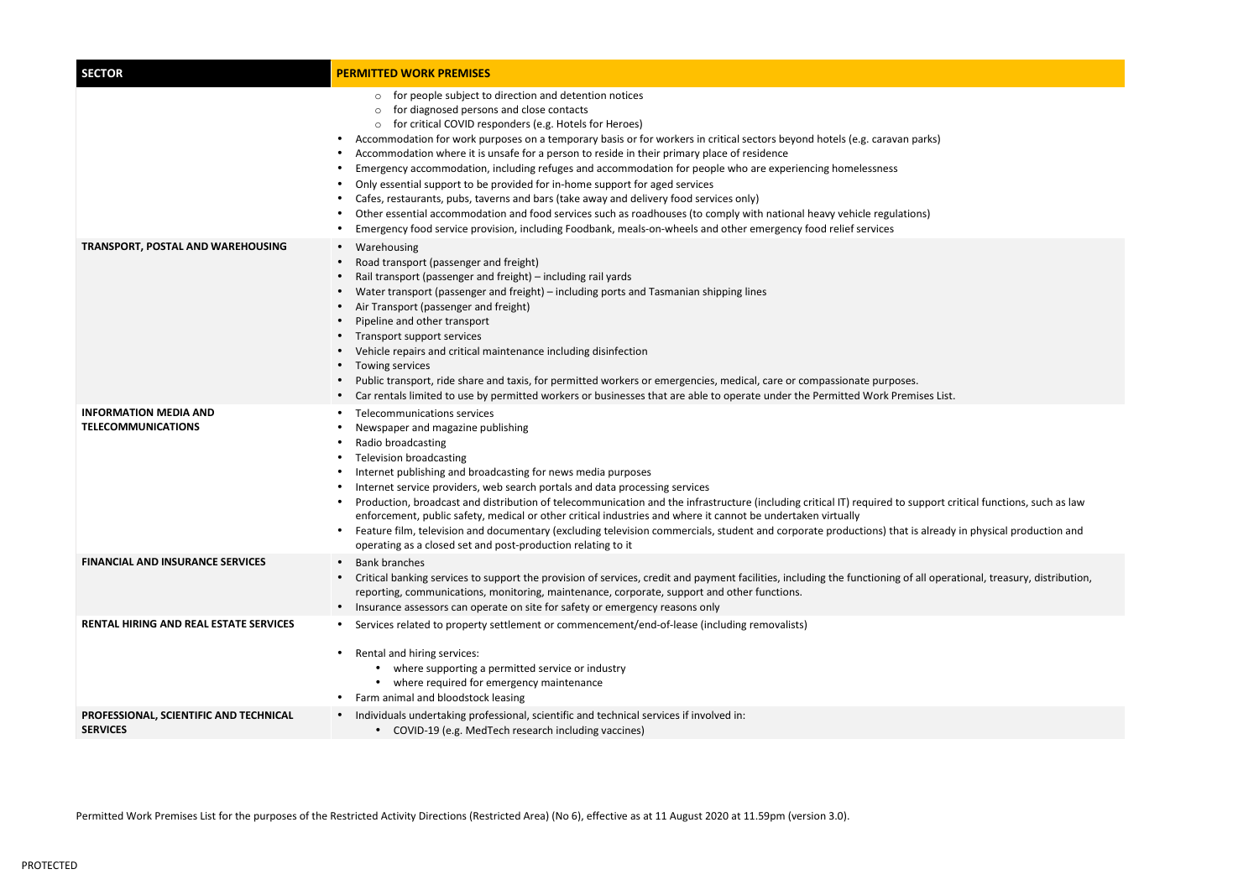critical functions, such as law

dy in physical production and

rational, treasury, distribution,

| <b>SECTOR</b>                                             | <b>PERMITTED WORK PREMISES</b>                                                                                                                                                                                                                                                                                                                                                                                                                                                                                                                                                                                                                                                                                                                                                                                                                                                                                                                                                                     |
|-----------------------------------------------------------|----------------------------------------------------------------------------------------------------------------------------------------------------------------------------------------------------------------------------------------------------------------------------------------------------------------------------------------------------------------------------------------------------------------------------------------------------------------------------------------------------------------------------------------------------------------------------------------------------------------------------------------------------------------------------------------------------------------------------------------------------------------------------------------------------------------------------------------------------------------------------------------------------------------------------------------------------------------------------------------------------|
|                                                           | for people subject to direction and detention notices<br>$\circ$<br>for diagnosed persons and close contacts<br>$\circ$<br>for critical COVID responders (e.g. Hotels for Heroes)<br>$\circ$<br>Accommodation for work purposes on a temporary basis or for workers in critical sectors beyond hotels (e.g. caravan parks)<br>$\bullet$<br>Accommodation where it is unsafe for a person to reside in their primary place of residence<br>Emergency accommodation, including refuges and accommodation for people who are experiencing homelessness<br>Only essential support to be provided for in-home support for aged services<br>$\bullet$<br>Cafes, restaurants, pubs, taverns and bars (take away and delivery food services only)<br>Other essential accommodation and food services such as roadhouses (to comply with national heavy vehicle regulations)<br>Emergency food service provision, including Foodbank, meals-on-wheels and other emergency food relief services<br>$\bullet$ |
| <b>TRANSPORT, POSTAL AND WAREHOUSING</b>                  | Warehousing<br>$\bullet$<br>Road transport (passenger and freight)<br>Rail transport (passenger and freight) – including rail yards<br>Water transport (passenger and freight) – including ports and Tasmanian shipping lines<br>$\bullet$<br>Air Transport (passenger and freight)<br>Pipeline and other transport<br>Transport support services<br>Vehicle repairs and critical maintenance including disinfection<br>Towing services<br>Public transport, ride share and taxis, for permitted workers or emergencies, medical, care or compassionate purposes.<br>$\bullet$<br>Car rentals limited to use by permitted workers or businesses that are able to operate under the Permitted Work Premises List.                                                                                                                                                                                                                                                                                   |
| <b>INFORMATION MEDIA AND</b><br><b>TELECOMMUNICATIONS</b> | Telecommunications services<br>Newspaper and magazine publishing<br>Radio broadcasting<br><b>Television broadcasting</b><br>Internet publishing and broadcasting for news media purposes<br>Internet service providers, web search portals and data processing services<br>Production, broadcast and distribution of telecommunication and the infrastructure (including critical IT) required to support cr<br>enforcement, public safety, medical or other critical industries and where it cannot be undertaken virtually<br>Feature film, television and documentary (excluding television commercials, student and corporate productions) that is already<br>operating as a closed set and post-production relating to it                                                                                                                                                                                                                                                                     |
| <b>FINANCIAL AND INSURANCE SERVICES</b>                   | <b>Bank branches</b><br>$\bullet$<br>Critical banking services to support the provision of services, credit and payment facilities, including the functioning of all opera<br>reporting, communications, monitoring, maintenance, corporate, support and other functions.<br>Insurance assessors can operate on site for safety or emergency reasons only<br>$\bullet$                                                                                                                                                                                                                                                                                                                                                                                                                                                                                                                                                                                                                             |
| <b>RENTAL HIRING AND REAL ESTATE SERVICES</b>             | Services related to property settlement or commencement/end-of-lease (including removalists)<br>$\bullet$<br>Rental and hiring services:<br>where supporting a permitted service or industry<br>where required for emergency maintenance<br>$\bullet$<br>Farm animal and bloodstock leasing                                                                                                                                                                                                                                                                                                                                                                                                                                                                                                                                                                                                                                                                                                        |
| PROFESSIONAL, SCIENTIFIC AND TECHNICAL<br><b>SERVICES</b> | Individuals undertaking professional, scientific and technical services if involved in:<br>$\bullet$<br>COVID-19 (e.g. MedTech research including vaccines)                                                                                                                                                                                                                                                                                                                                                                                                                                                                                                                                                                                                                                                                                                                                                                                                                                        |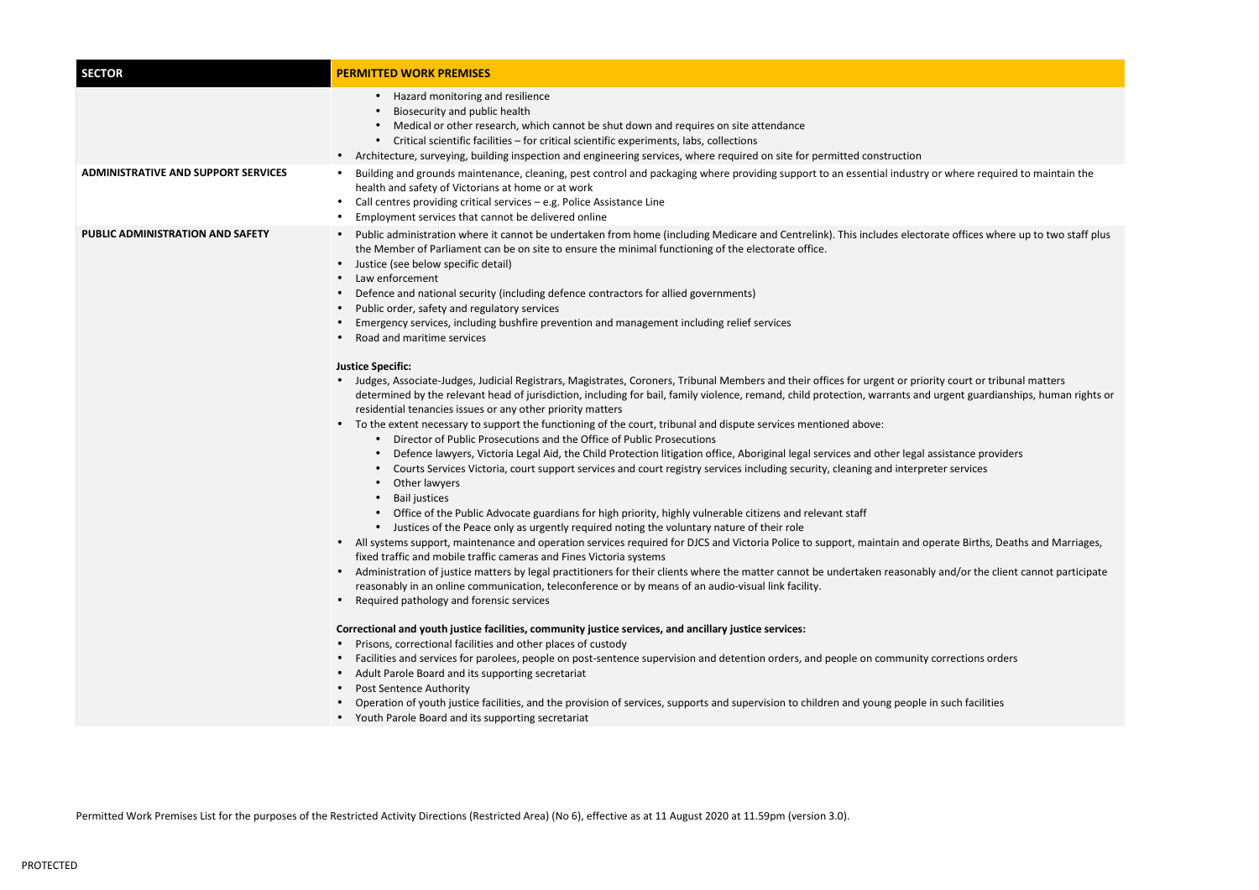| Hazard monitoring and resilience                                                                                                                                                                                                                                                                                                                                                                                                                                                                                                                                                                                                                                                                                                                                                                                                                                                                                                                                                                                                                                                                                                                                                                                                                                                                                                                                                                                                                                                                                                                                                                                                                                                                                                                                                                                                                                                                                                                                                                                                                                                                                                                                                                                                                                                                                         |
|--------------------------------------------------------------------------------------------------------------------------------------------------------------------------------------------------------------------------------------------------------------------------------------------------------------------------------------------------------------------------------------------------------------------------------------------------------------------------------------------------------------------------------------------------------------------------------------------------------------------------------------------------------------------------------------------------------------------------------------------------------------------------------------------------------------------------------------------------------------------------------------------------------------------------------------------------------------------------------------------------------------------------------------------------------------------------------------------------------------------------------------------------------------------------------------------------------------------------------------------------------------------------------------------------------------------------------------------------------------------------------------------------------------------------------------------------------------------------------------------------------------------------------------------------------------------------------------------------------------------------------------------------------------------------------------------------------------------------------------------------------------------------------------------------------------------------------------------------------------------------------------------------------------------------------------------------------------------------------------------------------------------------------------------------------------------------------------------------------------------------------------------------------------------------------------------------------------------------------------------------------------------------------------------------------------------------|
| Biosecurity and public health<br>Medical or other research, which cannot be shut down and requires on site attendance<br>Critical scientific facilities - for critical scientific experiments, labs, collections<br>• Architecture, surveying, building inspection and engineering services, where required on site for permitted construction                                                                                                                                                                                                                                                                                                                                                                                                                                                                                                                                                                                                                                                                                                                                                                                                                                                                                                                                                                                                                                                                                                                                                                                                                                                                                                                                                                                                                                                                                                                                                                                                                                                                                                                                                                                                                                                                                                                                                                           |
| Building and grounds maintenance, cleaning, pest control and packaging where providing support to an essential industry or where required to maintain the<br>health and safety of Victorians at home or at work<br>Call centres providing critical services - e.g. Police Assistance Line<br>Employment services that cannot be delivered online                                                                                                                                                                                                                                                                                                                                                                                                                                                                                                                                                                                                                                                                                                                                                                                                                                                                                                                                                                                                                                                                                                                                                                                                                                                                                                                                                                                                                                                                                                                                                                                                                                                                                                                                                                                                                                                                                                                                                                         |
| Public administration where it cannot be undertaken from home (including Medicare and Centrelink). This includes electorate offices where up to two staff plus<br>the Member of Parliament can be on site to ensure the minimal functioning of the electorate office.<br>Justice (see below specific detail)<br>Law enforcement<br>Defence and national security (including defence contractors for allied governments)<br>Public order, safety and regulatory services<br>Emergency services, including bushfire prevention and management including relief services<br>Road and maritime services                                                                                                                                                                                                                                                                                                                                                                                                                                                                                                                                                                                                                                                                                                                                                                                                                                                                                                                                                                                                                                                                                                                                                                                                                                                                                                                                                                                                                                                                                                                                                                                                                                                                                                                      |
| Judges, Associate-Judges, Judicial Registrars, Magistrates, Coroners, Tribunal Members and their offices for urgent or priority court or tribunal matters<br>determined by the relevant head of jurisdiction, including for bail, family violence, remand, child protection, warrants and urgent guardianships, human rights or<br>residential tenancies issues or any other priority matters<br>• To the extent necessary to support the functioning of the court, tribunal and dispute services mentioned above:<br>Director of Public Prosecutions and the Office of Public Prosecutions<br>Defence lawyers, Victoria Legal Aid, the Child Protection litigation office, Aboriginal legal services and other legal assistance providers<br>Courts Services Victoria, court support services and court registry services including security, cleaning and interpreter services<br>Other lawyers<br><b>Bail justices</b><br>Office of the Public Advocate guardians for high priority, highly vulnerable citizens and relevant staff<br>Justices of the Peace only as urgently required noting the voluntary nature of their role<br>• All systems support, maintenance and operation services required for DJCS and Victoria Police to support, maintain and operate Births, Deaths and Marriages,<br>fixed traffic and mobile traffic cameras and Fines Victoria systems<br>Administration of justice matters by legal practitioners for their clients where the matter cannot be undertaken reasonably and/or the client cannot participate<br>reasonably in an online communication, teleconference or by means of an audio-visual link facility.<br>Required pathology and forensic services<br>Correctional and youth justice facilities, community justice services, and ancillary justice services:<br>Prisons, correctional facilities and other places of custody<br>Facilities and services for parolees, people on post-sentence supervision and detention orders, and people on community corrections orders<br>Adult Parole Board and its supporting secretariat<br><b>Post Sentence Authority</b><br>Operation of youth justice facilities, and the provision of services, supports and supervision to children and young people in such facilities<br>Youth Parole Board and its supporting secretariat |
| <b>Justice Specific:</b>                                                                                                                                                                                                                                                                                                                                                                                                                                                                                                                                                                                                                                                                                                                                                                                                                                                                                                                                                                                                                                                                                                                                                                                                                                                                                                                                                                                                                                                                                                                                                                                                                                                                                                                                                                                                                                                                                                                                                                                                                                                                                                                                                                                                                                                                                                 |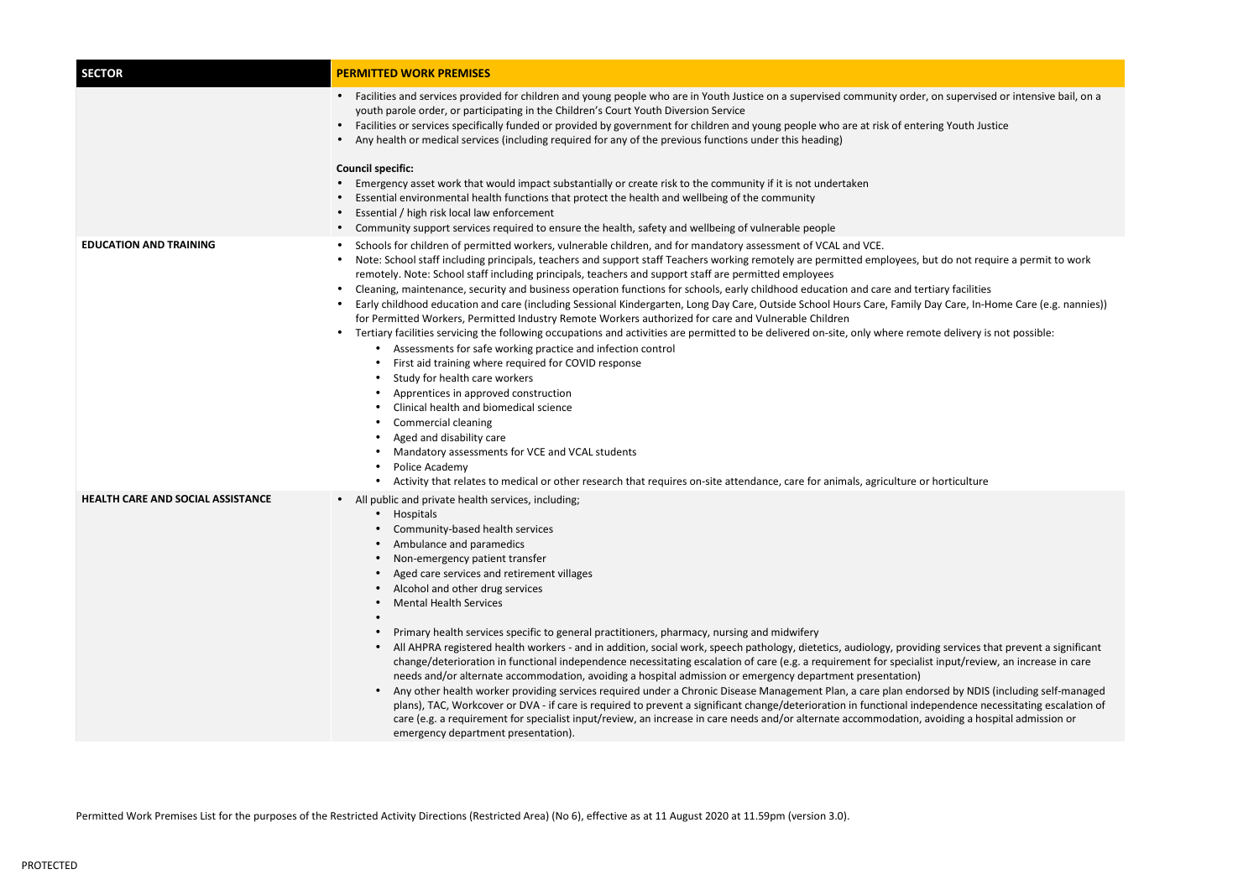| <b>SECTOR</b>                     | <b>PERMITTED WORK PREMISES</b>                                                                                                                                                                                                                                                                                                                                                                                                                                                                                                                                                                                                                                                                                                                                                                                                                                                                                                                                                                                                                                                                                                                                                                                                                                                                                                                                                                                                                                                              |
|-----------------------------------|---------------------------------------------------------------------------------------------------------------------------------------------------------------------------------------------------------------------------------------------------------------------------------------------------------------------------------------------------------------------------------------------------------------------------------------------------------------------------------------------------------------------------------------------------------------------------------------------------------------------------------------------------------------------------------------------------------------------------------------------------------------------------------------------------------------------------------------------------------------------------------------------------------------------------------------------------------------------------------------------------------------------------------------------------------------------------------------------------------------------------------------------------------------------------------------------------------------------------------------------------------------------------------------------------------------------------------------------------------------------------------------------------------------------------------------------------------------------------------------------|
|                                   | Facilities and services provided for children and young people who are in Youth Justice on a supervised community order, on supervised or intensive bail, on a<br>$\bullet$<br>youth parole order, or participating in the Children's Court Youth Diversion Service<br>Facilities or services specifically funded or provided by government for children and young people who are at risk of entering Youth Justice<br>$\bullet$<br>Any health or medical services (including required for any of the previous functions under this heading)                                                                                                                                                                                                                                                                                                                                                                                                                                                                                                                                                                                                                                                                                                                                                                                                                                                                                                                                                |
|                                   | <b>Council specific:</b><br>Emergency asset work that would impact substantially or create risk to the community if it is not undertaken<br>Essential environmental health functions that protect the health and wellbeing of the community<br>Essential / high risk local law enforcement<br>Community support services required to ensure the health, safety and wellbeing of vulnerable people                                                                                                                                                                                                                                                                                                                                                                                                                                                                                                                                                                                                                                                                                                                                                                                                                                                                                                                                                                                                                                                                                           |
| <b>EDUCATION AND TRAINING</b>     | Schools for children of permitted workers, vulnerable children, and for mandatory assessment of VCAL and VCE.<br>$\bullet$<br>Note: School staff including principals, teachers and support staff Teachers working remotely are permitted employees, but do not require a permit to work<br>remotely. Note: School staff including principals, teachers and support staff are permitted employees<br>Cleaning, maintenance, security and business operation functions for schools, early childhood education and care and tertiary facilities<br>Early childhood education and care (including Sessional Kindergarten, Long Day Care, Outside School Hours Care, Family Day Care, In-Home Care (e.g. nannies))<br>for Permitted Workers, Permitted Industry Remote Workers authorized for care and Vulnerable Children<br>Tertiary facilities servicing the following occupations and activities are permitted to be delivered on-site, only where remote delivery is not possible:<br>Assessments for safe working practice and infection control<br>First aid training where required for COVID response<br>Study for health care workers<br>Apprentices in approved construction<br>Clinical health and biomedical science<br>Commercial cleaning<br>Aged and disability care<br>Mandatory assessments for VCE and VCAL students<br>Police Academy<br>Activity that relates to medical or other research that requires on-site attendance, care for animals, agriculture or horticulture |
| HEALTH CARE AND SOCIAL ASSISTANCE | • All public and private health services, including;<br>Hospitals<br>Community-based health services<br>Ambulance and paramedics<br>Non-emergency patient transfer<br>Aged care services and retirement villages<br>Alcohol and other drug services<br><b>Mental Health Services</b><br>Primary health services specific to general practitioners, pharmacy, nursing and midwifery<br>All AHPRA registered health workers - and in addition, social work, speech pathology, dietetics, audiology, providing services that prevent a significant<br>change/deterioration in functional independence necessitating escalation of care (e.g. a requirement for specialist input/review, an increase in care<br>needs and/or alternate accommodation, avoiding a hospital admission or emergency department presentation)<br>Any other health worker providing services required under a Chronic Disease Management Plan, a care plan endorsed by NDIS (including self-managed<br>plans), TAC, Workcover or DVA - if care is required to prevent a significant change/deterioration in functional independence necessitating escalation of<br>care (e.g. a requirement for specialist input/review, an increase in care needs and/or alternate accommodation, avoiding a hospital admission or<br>emergency department presentation).                                                                                                                                                           |